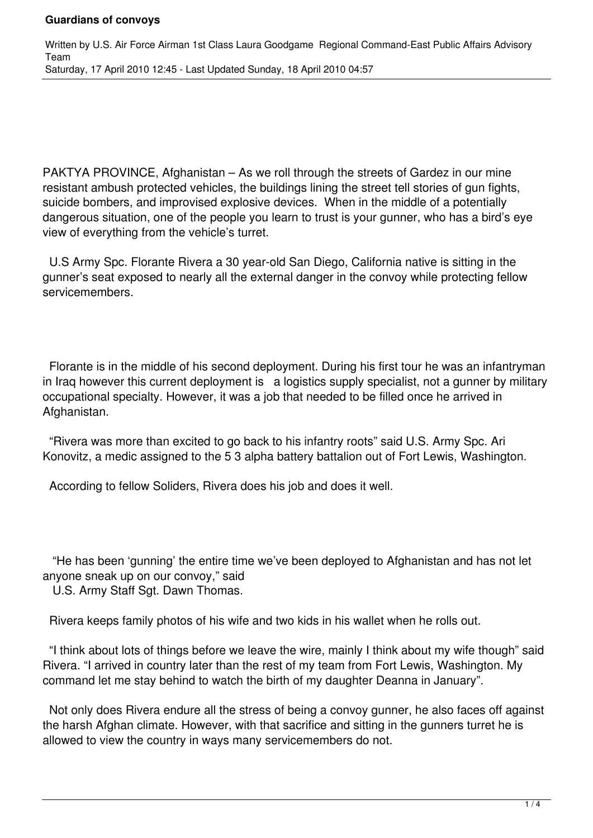Written by U.S. Air Force Airman 1st Class Laura Goodgame Regional Command-East Public Affairs Advisory Team Saturday, 17 April 2010 12:45 - Last Updated Sunday, 18 April 2010 04:57

PAKTYA PROVINCE, Afghanistan – As we roll through the streets of Gardez in our mine resistant ambush protected vehicles, the buildings lining the street tell stories of gun fights, suicide bombers, and improvised explosive devices. When in the middle of a potentially dangerous situation, one of the people you learn to trust is your gunner, who has a bird's eye view of everything from the vehicle's turret.

 U.S Army Spc. Florante Rivera a 30 year-old San Diego, California native is sitting in the gunner's seat exposed to nearly all the external danger in the convoy while protecting fellow servicemembers.

 Florante is in the middle of his second deployment. During his first tour he was an infantryman in Iraq however this current deployment is a logistics supply specialist, not a gunner by military occupational specialty. However, it was a job that needed to be filled once he arrived in Afghanistan.

 "Rivera was more than excited to go back to his infantry roots" said U.S. Army Spc. Ari Konovitz, a medic assigned to the 5 3 alpha battery battalion out of Fort Lewis, Washington.

According to fellow Soliders, Rivera does his job and does it well.

 "He has been 'gunning' the entire time we've been deployed to Afghanistan and has not let anyone sneak up on our convoy," said

U.S. Army Staff Sgt. Dawn Thomas.

Rivera keeps family photos of his wife and two kids in his wallet when he rolls out.

 "I think about lots of things before we leave the wire, mainly I think about my wife though" said Rivera. "I arrived in country later than the rest of my team from Fort Lewis, Washington. My command let me stay behind to watch the birth of my daughter Deanna in January".

 Not only does Rivera endure all the stress of being a convoy gunner, he also faces off against the harsh Afghan climate. However, with that sacrifice and sitting in the gunners turret he is allowed to view the country in ways many servicemembers do not.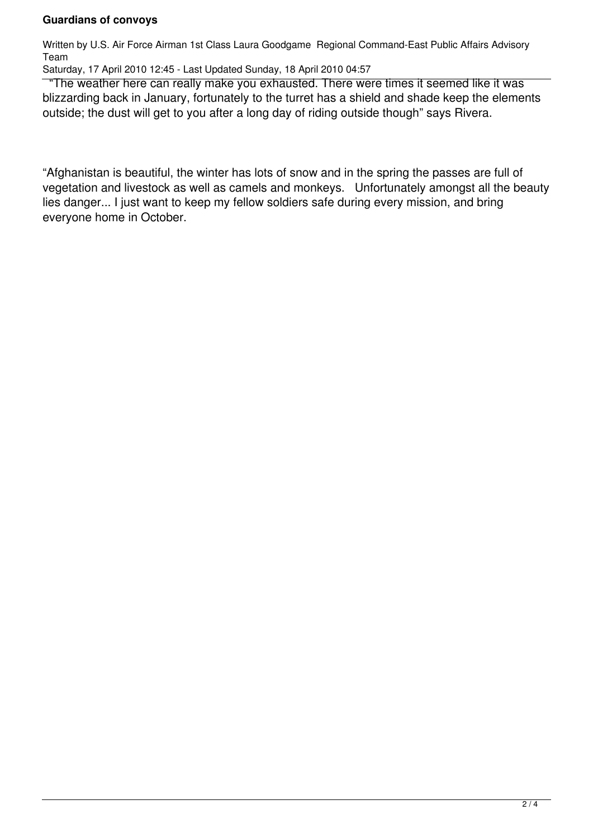Written by U.S. Air Force Airman 1st Class Laura Goodgame Regional Command-East Public Affairs Advisory Team

Saturday, 17 April 2010 12:45 - Last Updated Sunday, 18 April 2010 04:57

 "The weather here can really make you exhausted. There were times it seemed like it was blizzarding back in January, fortunately to the turret has a shield and shade keep the elements outside; the dust will get to you after a long day of riding outside though" says Rivera.

"Afghanistan is beautiful, the winter has lots of snow and in the spring the passes are full of vegetation and livestock as well as camels and monkeys. Unfortunately amongst all the beauty lies danger... I just want to keep my fellow soldiers safe during every mission, and bring everyone home in October.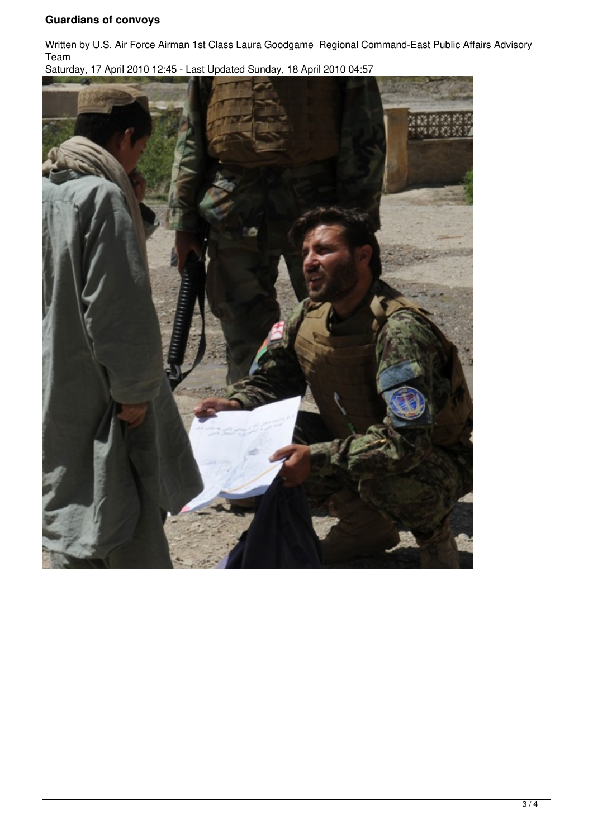Written by U.S. Air Force Airman 1st Class Laura Goodgame Regional Command-East Public Affairs Advisory Team

Saturday, 17 April 2010 12:45 - Last Updated Sunday, 18 April 2010 04:57